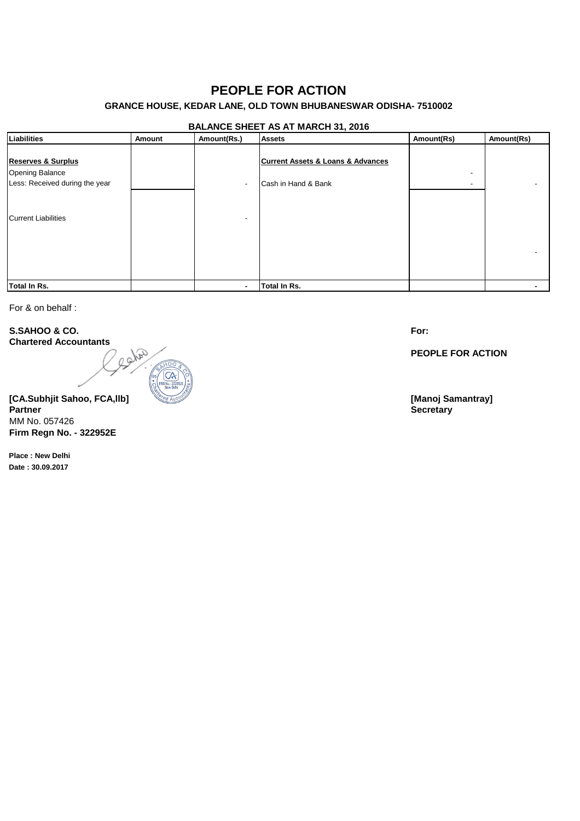## **PEOPLE FOR ACTION**

## **GRANCE HOUSE, KEDAR LANE, OLD TOWN BHUBANESWAR ODISHA- 7510002**

### **BALANCE SHEET AS AT MARCH 31, 2016**

| Liabilities                                                                        | Amount | Amount(Rs.)              | $\sim$ $\sim$<br><b>Assets</b>                                          | Amount(Rs) | Amount(Rs) |
|------------------------------------------------------------------------------------|--------|--------------------------|-------------------------------------------------------------------------|------------|------------|
| <b>Reserves &amp; Surplus</b><br>Opening Balance<br>Less: Received during the year |        | $\overline{\phantom{a}}$ | <b>Current Assets &amp; Loans &amp; Advances</b><br>Cash in Hand & Bank | -          |            |
| Current Liabilities                                                                |        |                          |                                                                         |            |            |
|                                                                                    |        |                          |                                                                         |            |            |
| <b>Total In Rs.</b>                                                                |        |                          | Total In Rs.                                                            |            |            |

For & on behalf :

**S.SAHOO & CO. Chartered Accountants**

early

**[CA.Subhjit Sahoo, FCA,llb] [Manoj Samantray] Partner Secretary** MM No. 057426 **Firm Regn No. - 322952E**

**Place : New Delhi Date : 30.09.2017**

**For:**

**PEOPLE FOR ACTION**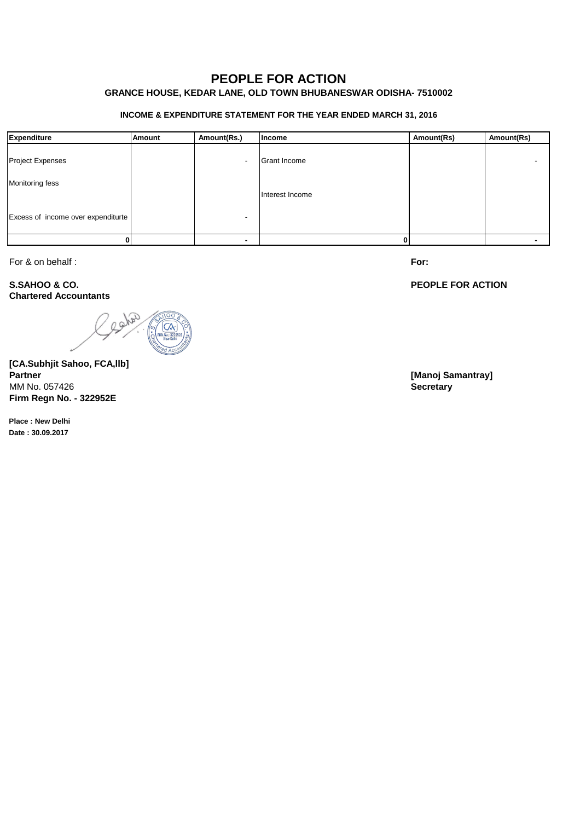# **PEOPLE FOR ACTION**

## **GRANCE HOUSE, KEDAR LANE, OLD TOWN BHUBANESWAR ODISHA- 7510002**

### **INCOME & EXPENDITURE STATEMENT FOR THE YEAR ENDED MARCH 31, 2016**

| Expenditure                        | Amount | Amount(Rs.) | Income              | Amount(Rs) | Amount(Rs) |
|------------------------------------|--------|-------------|---------------------|------------|------------|
| <b>Project Expenses</b>            |        |             | <b>Grant Income</b> |            |            |
| Monitoring fess                    |        |             | Interest Income     |            |            |
| Excess of income over expenditurte |        |             |                     |            |            |
|                                    |        |             |                     |            |            |

For & on behalf :

**S.SAHOO & CO. Chartered Accountants**

cater

**[CA.Subhjit Sahoo, FCA,llb] Partner [Manoj Samantray]** MM No. 057426 **Secretary Firm Regn No. - 322952E**

**Place : New Delhi Date : 30.09.2017**

**For:**

### **PEOPLE FOR ACTION**